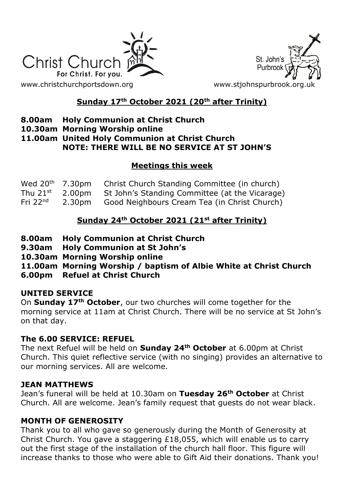



# **Sunday 17th October 2021 (20th after Trinity)**

- **8.00am Holy Communion at Christ Church**
- **10.30am Morning Worship online**

**11.00am United Holy Communion at Christ Church NOTE: THERE WILL BE NO SERVICE AT ST JOHN'S**

## **Meetings this week**

| Wed $20th$ 7.30pm    |        | Christ Church Standing Committee (in church)   |
|----------------------|--------|------------------------------------------------|
| Thu 21 $^{\rm st}$ . | 2.00pm | St John's Standing Committee (at the Vicarage) |
| Fri $22nd$           | 2.30pm | Good Neighbours Cream Tea (in Christ Church)   |

## **Sunday 24th October 2021 (21st after Trinity)**

- **8.00am Holy Communion at Christ Church**
- **9.30am Holy Communion at St John's**
- **10.30am Morning Worship online**
- **11.00am Morning Worship / baptism of Albie White at Christ Church**
- **6.00pm Refuel at Christ Church**

### **UNITED SERVICE**

On **Sunday 17th October**, our two churches will come together for the morning service at 11am at Christ Church. There will be no service at St John's on that day.

## **The 6.00 SERVICE: REFUEL**

The next Refuel will be held on **Sunday 24th October** at 6.00pm at Christ Church. This quiet reflective service (with no singing) provides an alternative to our morning services. All are welcome.

### **JEAN MATTHEWS**

Jean's funeral will be held at 10.30am on **Tuesday 26th October** at Christ Church. All are welcome. Jean's family request that guests do not wear black.

## **MONTH OF GENEROSITY**

Thank you to all who gave so generously during the Month of Generosity at Christ Church. You gave a staggering £18,055, which will enable us to carry out the first stage of the installation of the church hall floor. This figure will increase thanks to those who were able to Gift Aid their donations. Thank you!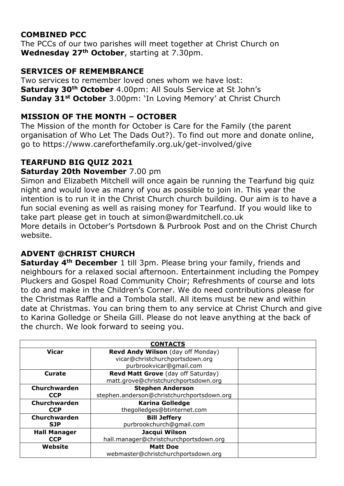## **COMBINED PCC**

The PCCs of our two parishes will meet together at Christ Church on **Wednesday 27th October**, starting at 7.30pm.

## **SERVICES OF REMEMBRANCE**

Two services to remember loved ones whom we have lost: **Saturday 30th October** 4.00pm: All Souls Service at St John's **Sunday 31st October** 3.00pm: 'In Loving Memory' at Christ Church

## **MISSION OF THE MONTH – OCTOBER**

The Mission of the month for October is Care for the Family (the parent organisation of Who Let The Dads Out?). To find out more and donate online, go to https://www.careforthefamily.org.uk/get-involved/give

# **TEARFUND BIG QUIZ 2021**

## **Saturday 20th November** 7.00 pm

Simon and Elizabeth Mitchell will once again be running the Tearfund big quiz night and would love as many of you as possible to join in. This year the intention is to run it in the Christ Church church building. Our aim is to have a fun social evening as well as raising money for Tearfund. If you would like to take part please get in touch at simon@wardmitchell.co.uk More details in October's Portsdown & Purbrook Post and on the Christ Church website.

# **ADVENT @CHRIST CHURCH**

**Saturday 4th December** 1 till 3pm. Please bring your family, friends and neighbours for a relaxed social afternoon. Entertainment including the Pompey Pluckers and Gospel Road Community Choir; Refreshments of course and lots to do and make in the Children's Corner. We do need contributions please for the Christmas Raffle and a Tombola stall. All items must be new and within date at Christmas. You can bring them to any service at Christ Church and give to Karina Golledge or Sheila Gill. Please do not leave anything at the back of the church. We look forward to seeing you.

| <b>CONTACTS</b>     |                                            |  |  |
|---------------------|--------------------------------------------|--|--|
| <b>Vicar</b>        | Revd Andy Wilson (day off Monday)          |  |  |
|                     | vicar@christchurchportsdown.org            |  |  |
|                     | purbrookvicar@gmail.com                    |  |  |
| Curate              | Revd Matt Grove (day off Saturday)         |  |  |
|                     | matt.grove@christchurchportsdown.org       |  |  |
| Churchwarden        | <b>Stephen Anderson</b>                    |  |  |
| <b>CCP</b>          | stephen.anderson@christchurchportsdown.org |  |  |
| Churchwarden        | <b>Karina Golledge</b>                     |  |  |
| <b>CCP</b>          | thegolledges@btinternet.com                |  |  |
| Churchwarden        | <b>Bill Jeffery</b>                        |  |  |
| <b>SJP</b>          | purbrookchurch@gmail.com                   |  |  |
| <b>Hall Manager</b> | Jacqui Wilson                              |  |  |
| <b>CCP</b>          | hall.manager@christchurchportsdown.org     |  |  |
| Website             | <b>Matt Doe</b>                            |  |  |
|                     | webmaster@christchurchportsdown.org        |  |  |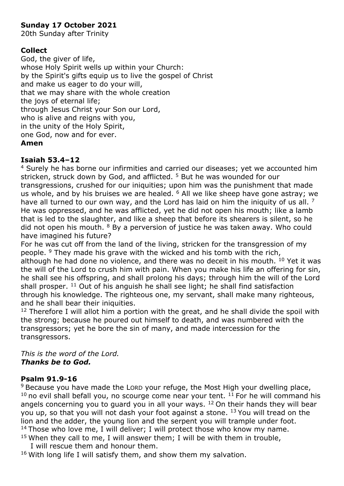#### **Sunday 17 October 2021**

20th Sunday after Trinity

#### **Collect**

God, the giver of life, whose Holy Spirit wells up within your Church: by the Spirit's gifts equip us to live the gospel of Christ and make us eager to do your will, that we may share with the whole creation the joys of eternal life; through Jesus Christ your Son our Lord, who is alive and reigns with you, in the unity of the Holy Spirit, one God, now and for ever. **Amen**

#### **Isaiah 53.4–12**

<sup>4</sup> Surely he has borne our infirmities and carried our diseases; yet we accounted him stricken, struck down by God, and afflicted. <sup>5</sup> But he was wounded for our transgressions, crushed for our iniquities; upon him was the punishment that made us whole, and by his bruises we are healed. <sup>6</sup> All we like sheep have gone astray; we have all turned to our own way, and the Lord has laid on him the iniquity of us all. <sup>7</sup> He was oppressed, and he was afflicted, yet he did not open his mouth; like a lamb that is led to the slaughter, and like a sheep that before its shearers is silent, so he did not open his mouth.  $8$  By a perversion of justice he was taken away. Who could have imagined his future?

For he was cut off from the land of the living, stricken for the transgression of my people. <sup>9</sup> They made his grave with the wicked and his tomb with the rich, although he had done no violence, and there was no deceit in his mouth. <sup>10</sup> Yet it was the will of the Lord to crush him with pain. When you make his life an offering for sin, he shall see his offspring, and shall prolong his days; through him the will of the Lord shall prosper. <sup>11</sup> Out of his anguish he shall see light; he shall find satisfaction through his knowledge. The righteous one, my servant, shall make many righteous, and he shall bear their iniquities.

 $12$  Therefore I will allot him a portion with the great, and he shall divide the spoil with the strong; because he poured out himself to death, and was numbered with the transgressors; yet he bore the sin of many, and made intercession for the transgressors.

*This is the word of the Lord. Thanks be to God.*

#### **Psalm 91.9-16**

<sup>9</sup> Because you have made the LORD your refuge, the Most High your dwelling place,  $10$  no evil shall befall you, no scourge come near your tent.  $11$  For he will command his angels concerning you to guard you in all your ways.  $12$  On their hands they will bear you up, so that you will not dash your foot against a stone. <sup>13</sup> You will tread on the lion and the adder, the young lion and the serpent you will trample under foot. <sup>14</sup> Those who love me, I will deliver; I will protect those who know my name.  $15$  When they call to me, I will answer them; I will be with them in trouble,

I will rescue them and honour them.

 $16$  With long life I will satisfy them, and show them my salvation.